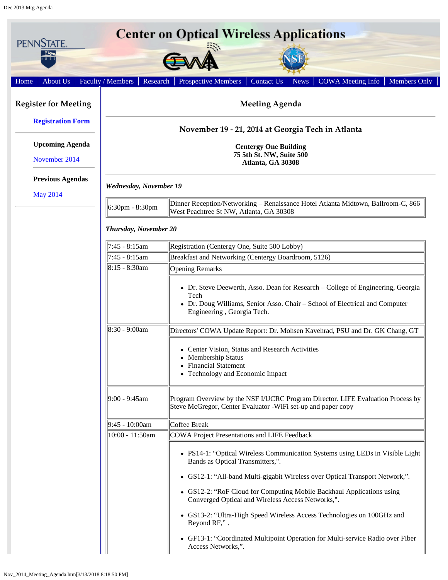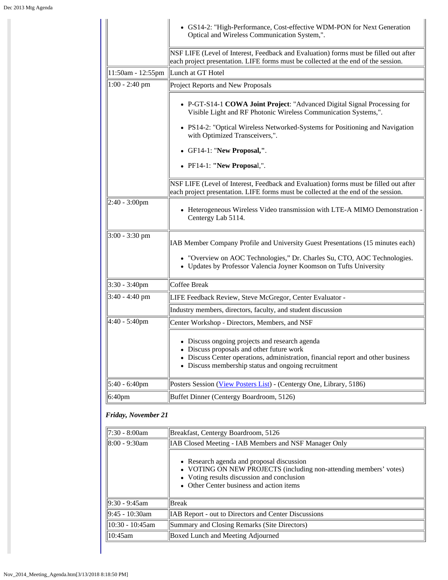|                    | • GS14-2: "High-Performance, Cost-effective WDM-PON for Next Generation<br>Optical and Wireless Communication System,".                                                                                                                |  |  |  |  |
|--------------------|----------------------------------------------------------------------------------------------------------------------------------------------------------------------------------------------------------------------------------------|--|--|--|--|
|                    | NSF LIFE (Level of Interest, Feedback and Evaluation) forms must be filled out after<br>each project presentation. LIFE forms must be collected at the end of the session.                                                             |  |  |  |  |
| 11:50am - 12:55pm  | Lunch at GT Hotel                                                                                                                                                                                                                      |  |  |  |  |
| $1:00 - 2:40$ pm   | Project Reports and New Proposals                                                                                                                                                                                                      |  |  |  |  |
|                    | • P-GT-S14-1 COWA Joint Project: "Advanced Digital Signal Processing for<br>Visible Light and RF Photonic Wireless Communication Systems,".                                                                                            |  |  |  |  |
|                    | • PS14-2: "Optical Wireless Networked-Systems for Positioning and Navigation<br>with Optimized Transceivers,".                                                                                                                         |  |  |  |  |
|                    | • GF14-1: "New Proposal,".                                                                                                                                                                                                             |  |  |  |  |
|                    | • PF14-1: "New Proposal,".                                                                                                                                                                                                             |  |  |  |  |
|                    | NSF LIFE (Level of Interest, Feedback and Evaluation) forms must be filled out after<br>each project presentation. LIFE forms must be collected at the end of the session.                                                             |  |  |  |  |
| $2:40 - 3:00$ pm   | • Heterogeneous Wireless Video transmission with LTE-A MIMO Demonstration -<br>Centergy Lab 5114.                                                                                                                                      |  |  |  |  |
| $3:00 - 3:30$ pm   | [IAB Member Company Profile and University Guest Presentations (15 minutes each)                                                                                                                                                       |  |  |  |  |
|                    | • "Overview on AOC Technologies," Dr. Charles Su, CTO, AOC Technologies.<br>• Updates by Professor Valencia Joyner Koomson on Tufts University                                                                                         |  |  |  |  |
| $3:30 - 3:40$ pm   | Coffee Break                                                                                                                                                                                                                           |  |  |  |  |
| $3:40 - 4:40$ pm   | LIFE Feedback Review, Steve McGregor, Center Evaluator -                                                                                                                                                                               |  |  |  |  |
|                    | Industry members, directors, faculty, and student discussion                                                                                                                                                                           |  |  |  |  |
| $4:40 - 5:40$ pm   | Center Workshop - Directors, Members, and NSF                                                                                                                                                                                          |  |  |  |  |
|                    | • Discuss ongoing projects and research agenda<br>• Discuss proposals and other future work<br>• Discuss Center operations, administration, financial report and other business<br>• Discuss membership status and ongoing recruitment |  |  |  |  |
| 5:40 - 6:40pm      | Posters Session (View Posters List) - (Centergy One, Library, 5186)                                                                                                                                                                    |  |  |  |  |
| 6:40 <sub>pm</sub> | Buffet Dinner (Centergy Boardroom, 5126)                                                                                                                                                                                               |  |  |  |  |

## *Friday, November 21*

| $\ 7:30 - 8:00am\ $ | Breakfast, Centergy Boardroom, 5126                                                                                                                                                                      |  |  |  |  |
|---------------------|----------------------------------------------------------------------------------------------------------------------------------------------------------------------------------------------------------|--|--|--|--|
| $\ 8:00 - 9:30$ am  | IAB Closed Meeting - IAB Members and NSF Manager Only                                                                                                                                                    |  |  |  |  |
|                     | • Research agenda and proposal discussion<br>• VOTING ON NEW PROJECTS (including non-attending members' votes)<br>• Voting results discussion and conclusion<br>• Other Center business and action items |  |  |  |  |
| $\ 9:30 - 9:45$ am  | Break                                                                                                                                                                                                    |  |  |  |  |
| $  9:45 - 10:30$ am | IAB Report - out to Directors and Center Discussions                                                                                                                                                     |  |  |  |  |
| 10:30 - 10:45am     | Summary and Closing Remarks (Site Directors)                                                                                                                                                             |  |  |  |  |
| $\parallel$ 10:45am | Boxed Lunch and Meeting Adjourned                                                                                                                                                                        |  |  |  |  |